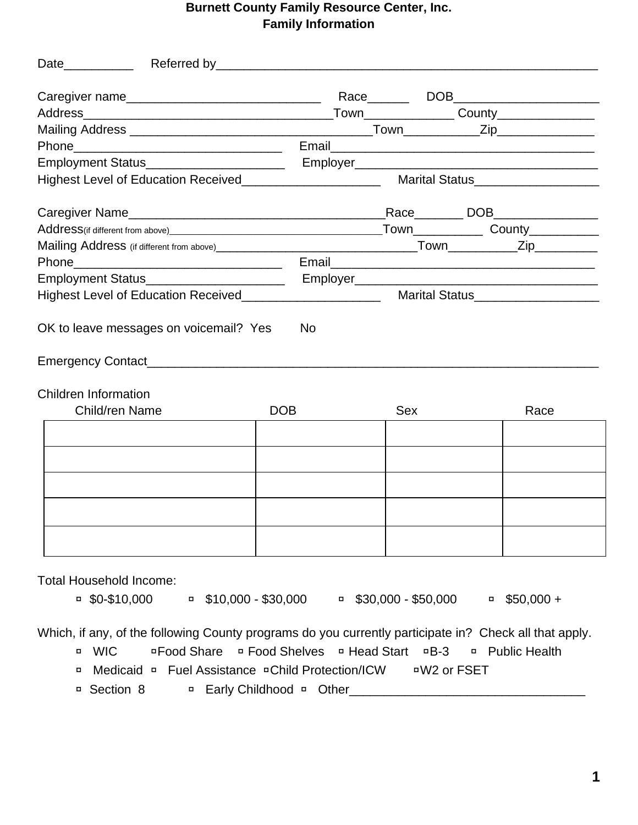## **Burnett County Family Resource Center, Inc. Family Information**

| <b>Children Information</b>    |                    |     |                                             |     |                |
|--------------------------------|--------------------|-----|---------------------------------------------|-----|----------------|
| Child/ren Name                 |                    | DOB |                                             | Sex | Race           |
|                                |                    |     |                                             |     |                |
|                                |                    |     |                                             |     |                |
|                                |                    |     |                                             |     |                |
|                                |                    |     |                                             |     |                |
|                                |                    |     |                                             |     |                |
| <b>Total Household Income:</b> | $\sqrt{50-10,000}$ |     | □ $$10,000 - $30,000$ □ $$30,000 - $50,000$ |     | $-$ \$50,000 + |